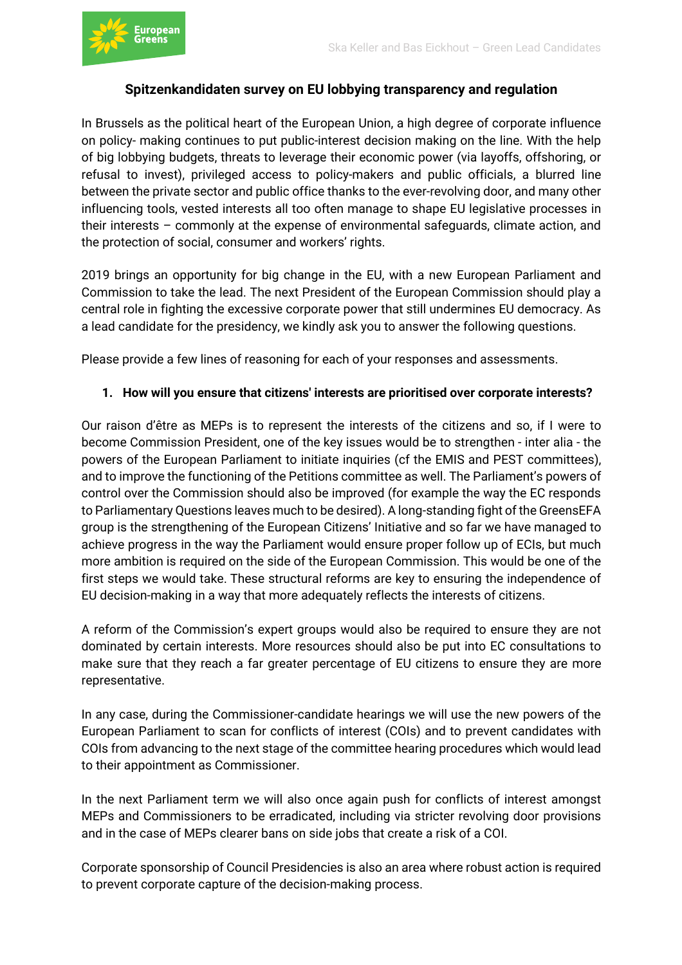

#### **Spitzenkandidaten survey on EU lobbying transparency and regulation**

In Brussels as the political heart of the European Union, a high degree of corporate influence on policy- making continues to put public-interest decision making on the line. With the help of big lobbying budgets, threats to leverage their economic power (via layoffs, offshoring, or refusal to invest), privileged access to policy-makers and public officials, a blurred line between the private sector and public office thanks to the ever-revolving door, and many other influencing tools, vested interests all too often manage to shape EU legislative processes in their interests – commonly at the expense of environmental safeguards, climate action, and the protection of social, consumer and workers' rights.

2019 brings an opportunity for big change in the EU, with a new European Parliament and Commission to take the lead. The next President of the European Commission should play a central role in fighting the excessive corporate power that still undermines EU democracy. As a lead candidate for the presidency, we kindly ask you to answer the following questions.

Please provide a few lines of reasoning for each of your responses and assessments.

#### **1. How will you ensure that citizens' interests are prioritised over corporate interests?**

Our raison d'être as MEPs is to represent the interests of the citizens and so, if I were to become Commission President, one of the key issues would be to strengthen - inter alia - the powers of the European Parliament to initiate inquiries (cf the EMIS and PEST committees), and to improve the functioning of the Petitions committee as well. The Parliament's powers of control over the Commission should also be improved (for example the way the EC responds to Parliamentary Questions leaves much to be desired). A long-standing fight of the GreensEFA group is the strengthening of the European Citizens' Initiative and so far we have managed to achieve progress in the way the Parliament would ensure proper follow up of ECIs, but much more ambition is required on the side of the European Commission. This would be one of the first steps we would take. These structural reforms are key to ensuring the independence of EU decision-making in a way that more adequately reflects the interests of citizens.

A reform of the Commission's expert groups would also be required to ensure they are not dominated by certain interests. More resources should also be put into EC consultations to make sure that they reach a far greater percentage of EU citizens to ensure they are more representative.

In any case, during the Commissioner-candidate hearings we will use the new powers of the European Parliament to scan for conflicts of interest (COIs) and to prevent candidates with COIs from advancing to the next stage of the committee hearing procedures which would lead to their appointment as Commissioner.

In the next Parliament term we will also once again push for conflicts of interest amongst MEPs and Commissioners to be erradicated, including via stricter revolving door provisions and in the case of MEPs clearer bans on side jobs that create a risk of a COI.

Corporate sponsorship of Council Presidencies is also an area where robust action is required to prevent corporate capture of the decision-making process.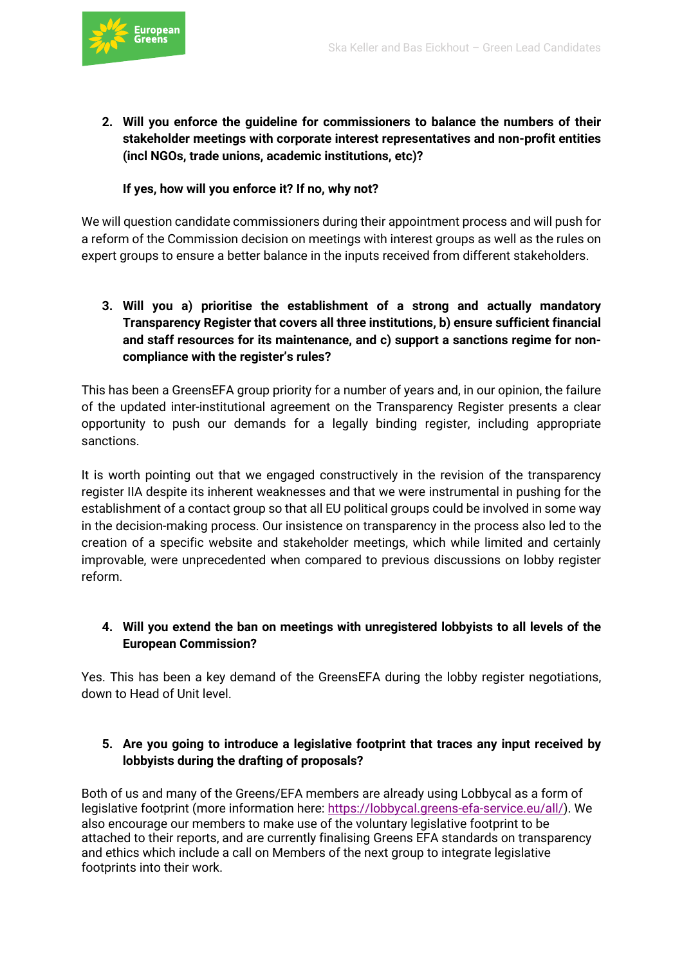

**2. Will you enforce the guideline for commissioners to balance the numbers of their stakeholder meetings with corporate interest representatives and non-profit entities (incl NGOs, trade unions, academic institutions, etc)?** 

# **If yes, how will you enforce it? If no, why not?**

We will question candidate commissioners during their appointment process and will push for a reform of the Commission decision on meetings with interest groups as well as the rules on expert groups to ensure a better balance in the inputs received from different stakeholders.

**3. Will you a) prioritise the establishment of a strong and actually mandatory Transparency Register that covers all three institutions, b) ensure sufficient financial and staff resources for its maintenance, and c) support a sanctions regime for noncompliance with the register's rules?** 

This has been a GreensEFA group priority for a number of years and, in our opinion, the failure of the updated inter-institutional agreement on the Transparency Register presents a clear opportunity to push our demands for a legally binding register, including appropriate sanctions.

It is worth pointing out that we engaged constructively in the revision of the transparency register IIA despite its inherent weaknesses and that we were instrumental in pushing for the establishment of a contact group so that all EU political groups could be involved in some way in the decision-making process. Our insistence on transparency in the process also led to the creation of a specific website and stakeholder meetings, which while limited and certainly improvable, were unprecedented when compared to previous discussions on lobby register reform.

# **4. Will you extend the ban on meetings with unregistered lobbyists to all levels of the European Commission?**

Yes. This has been a key demand of the GreensEFA during the lobby register negotiations, down to Head of Unit level.

#### **5. Are you going to introduce a legislative footprint that traces any input received by lobbyists during the drafting of proposals?**

Both of us and many of the Greens/EFA members are already using Lobbycal as a form of legislative footprint (more information here: https://lobbycal.greens-efa-service.eu/all/). We also encourage our members to make use of the voluntary legislative footprint to be attached to their reports, and are currently finalising Greens EFA standards on transparency and ethics which include a call on Members of the next group to integrate legislative footprints into their work.